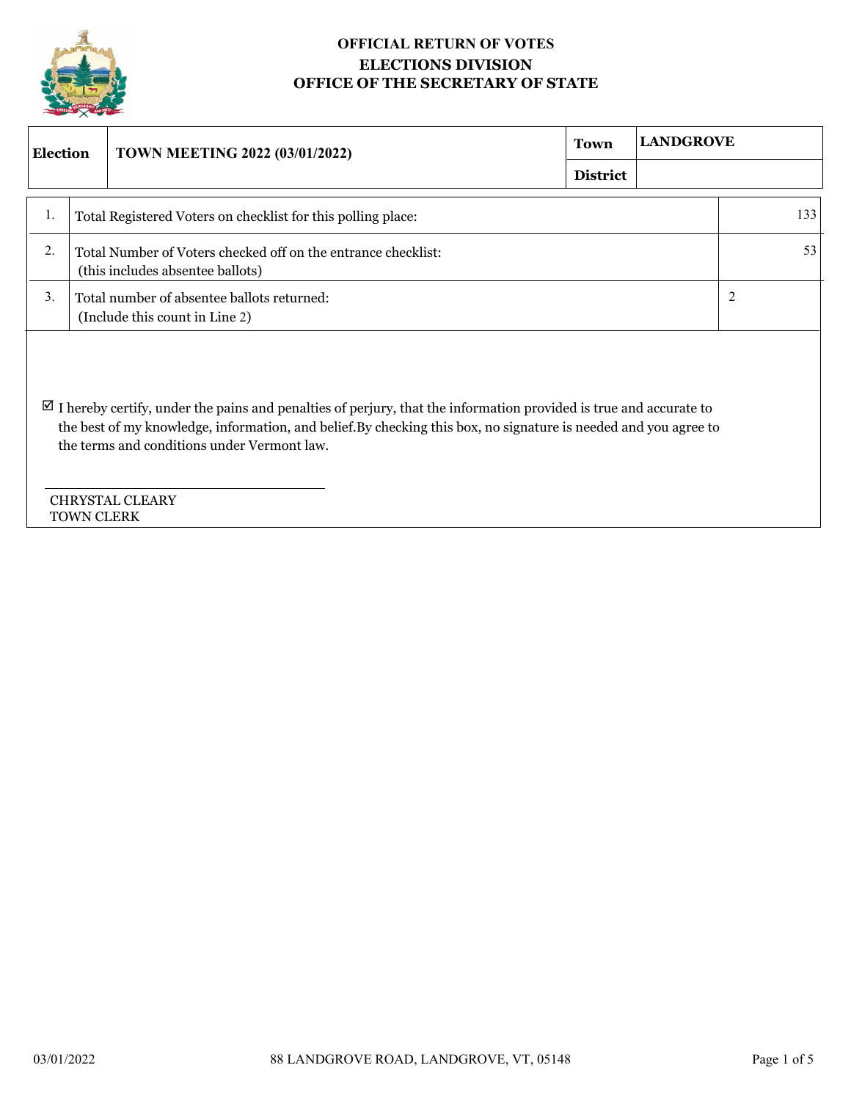

## **OFFICIAL RETURN OF VOTES ELECTIONS DIVISION OFFICE OF THE SECRETARY OF STATE**

| <b>Election</b>                                                                    |                                                                                                                                                                                                                                                                                                                                                 | <b>TOWN MEETING 2022 (03/01/2022)</b>                                                             | Town            | <b>LANDGROVE</b> |     |
|------------------------------------------------------------------------------------|-------------------------------------------------------------------------------------------------------------------------------------------------------------------------------------------------------------------------------------------------------------------------------------------------------------------------------------------------|---------------------------------------------------------------------------------------------------|-----------------|------------------|-----|
|                                                                                    |                                                                                                                                                                                                                                                                                                                                                 |                                                                                                   | <b>District</b> |                  |     |
| 1.                                                                                 |                                                                                                                                                                                                                                                                                                                                                 | Total Registered Voters on checklist for this polling place:                                      |                 |                  | 133 |
| 2.                                                                                 |                                                                                                                                                                                                                                                                                                                                                 | Total Number of Voters checked off on the entrance checklist:<br>(this includes absentee ballots) |                 |                  | 53  |
| 3.<br>Total number of absentee ballots returned:<br>(Include this count in Line 2) |                                                                                                                                                                                                                                                                                                                                                 | 2                                                                                                 |                 |                  |     |
|                                                                                    | $\boxtimes$ I hereby certify, under the pains and penalties of perjury, that the information provided is true and accurate to<br>the best of my knowledge, information, and belief. By checking this box, no signature is needed and you agree to<br>the terms and conditions under Vermont law.<br><b>CHRYSTAL CLEARY</b><br><b>TOWN CLERK</b> |                                                                                                   |                 |                  |     |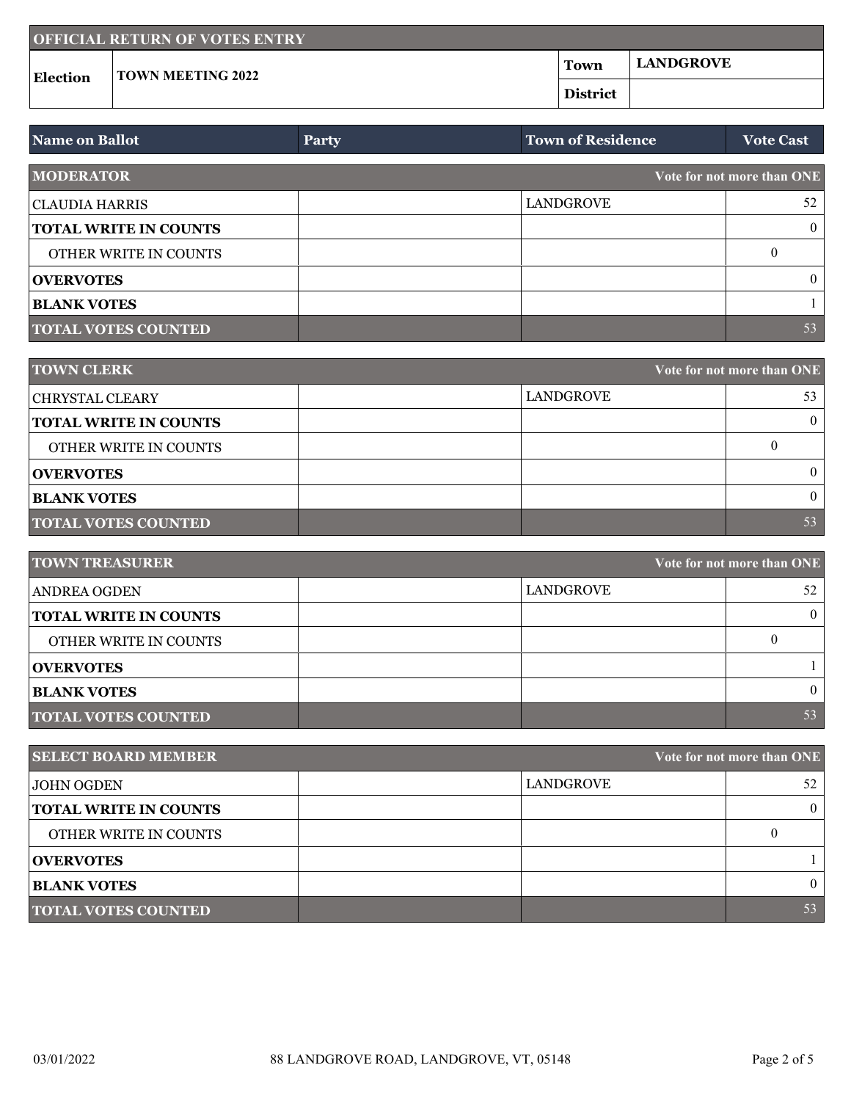| <b>OFFICIAL RETURN OF VOTES ENTRY</b> |                          |                 |                  |  |  |
|---------------------------------------|--------------------------|-----------------|------------------|--|--|
| <b>Election</b>                       | <b>TOWN MEETING 2022</b> | Town            | <b>LANDGROVE</b> |  |  |
|                                       |                          | <b>District</b> |                  |  |  |

| <b>Name on Ballot</b>        | <b>Party</b> | <b>Town of Residence</b> | <b>Vote Cast</b>           |
|------------------------------|--------------|--------------------------|----------------------------|
| <b>MODERATOR</b>             |              |                          | Vote for not more than ONE |
| CLAUDIA HARRIS               |              | LANDGROVE                | 52                         |
| <b>TOTAL WRITE IN COUNTS</b> |              |                          | $\theta$                   |
| OTHER WRITE IN COUNTS        |              |                          | $\left($                   |
| <b>OVERVOTES</b>             |              |                          | $\theta$                   |
| <b>BLANK VOTES</b>           |              |                          |                            |
| <b>TOTAL VOTES COUNTED</b>   |              |                          | 53                         |

| <b>TOWN CLERK</b>            | Vote for not more than ONE |    |
|------------------------------|----------------------------|----|
| <b>CHRYSTAL CLEARY</b>       | LANDGROVE                  | 53 |
| <b>TOTAL WRITE IN COUNTS</b> |                            |    |
| OTHER WRITE IN COUNTS        |                            |    |
| <b>OVERVOTES</b>             |                            |    |
| <b>BLANK VOTES</b>           |                            |    |
| <b>TOTAL VOTES COUNTED</b>   |                            | 53 |

| <b>TOWN TREASURER</b><br>Vote for not more than ONE |           |    |
|-----------------------------------------------------|-----------|----|
| ANDREA OGDEN                                        | LANDGROVE | 52 |
| <b>TOTAL WRITE IN COUNTS</b>                        |           |    |
| OTHER WRITE IN COUNTS                               |           |    |
| <b>OVERVOTES</b>                                    |           |    |
| <b>BLANK VOTES</b>                                  |           |    |
| <b>TOTAL VOTES COUNTED</b>                          |           | 53 |

| <b>SELECT BOARD MEMBER</b>   | Vote for not more than ONE |          |
|------------------------------|----------------------------|----------|
| JOHN OGDEN                   | LANDGROVE                  | 52       |
| <b>TOTAL WRITE IN COUNTS</b> |                            | $\Omega$ |
| OTHER WRITE IN COUNTS        |                            |          |
| <b>OVERVOTES</b>             |                            |          |
| <b>BLANK VOTES</b>           |                            | $\Omega$ |
| <b>TOTAL VOTES COUNTED</b>   |                            | 53       |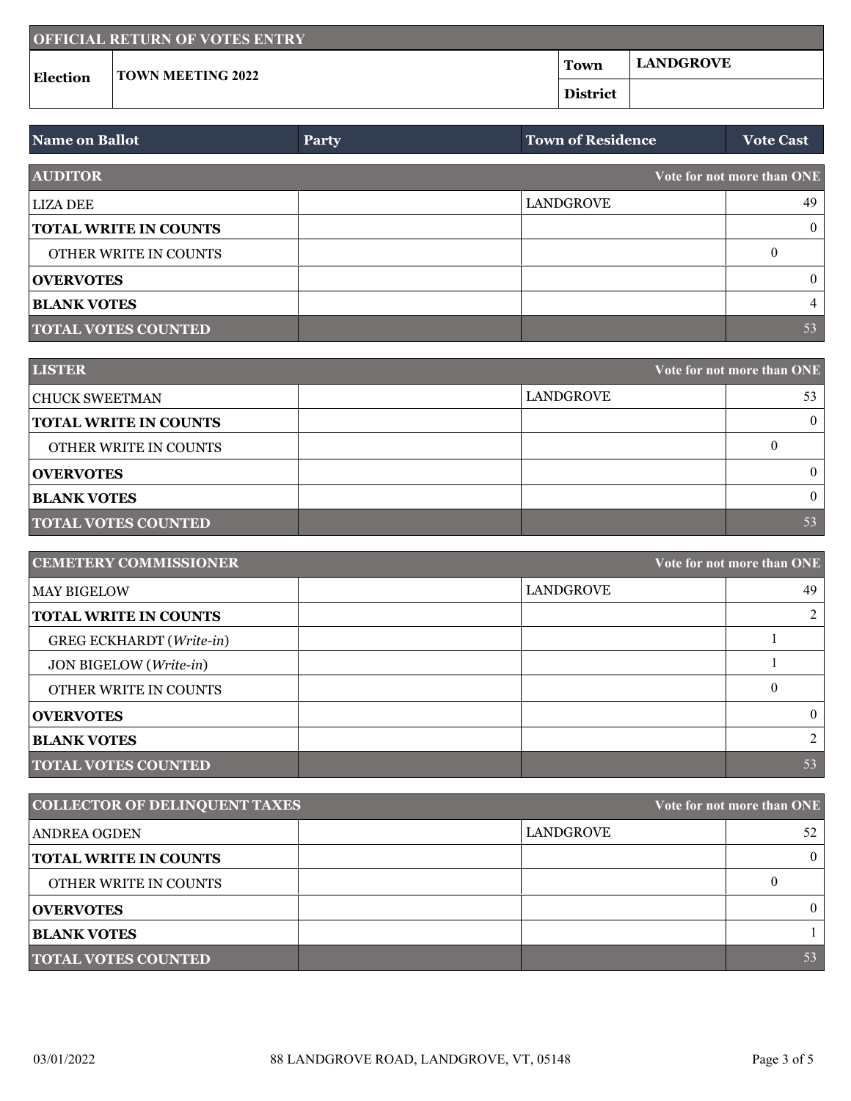| <b>OFFICIAL RETURN OF VOTES ENTRY</b> |                          |                 |                  |  |  |
|---------------------------------------|--------------------------|-----------------|------------------|--|--|
| <b>Election</b>                       | <b>TOWN MEETING 2022</b> | Town            | <b>LANDGROVE</b> |  |  |
|                                       |                          | <b>District</b> |                  |  |  |

| <b>Name on Ballot</b>        | <b>Party</b> | <b>Town of Residence</b> | <b>Vote Cast</b>           |
|------------------------------|--------------|--------------------------|----------------------------|
| <b>AUDITOR</b>               |              |                          | Vote for not more than ONE |
| <b>LIZA DEE</b>              |              | <b>LANDGROVE</b>         | 49                         |
| <b>TOTAL WRITE IN COUNTS</b> |              |                          | $\overline{0}$             |
| OTHER WRITE IN COUNTS        |              |                          |                            |
| <b>OVERVOTES</b>             |              |                          | $\theta$                   |
| <b>BLANK VOTES</b>           |              |                          | 4                          |
| <b>TOTAL VOTES COUNTED</b>   |              |                          | 53                         |

| <b>LISTER</b>                | Vote for not more than ONE |    |
|------------------------------|----------------------------|----|
| CHUCK SWEETMAN               | LANDGROVE                  | 53 |
| <b>TOTAL WRITE IN COUNTS</b> |                            |    |
| OTHER WRITE IN COUNTS        |                            |    |
| <b>OVERVOTES</b>             |                            |    |
| <b>BLANK VOTES</b>           |                            |    |
| <b>TOTAL VOTES COUNTED</b>   |                            | 53 |

| <b>CEMETERY COMMISSIONER</b><br>Vote for not more than ONE |           |          |
|------------------------------------------------------------|-----------|----------|
| <b>MAY BIGELOW</b>                                         | LANDGROVE | 49       |
| <b>TOTAL WRITE IN COUNTS</b>                               |           |          |
| GREG ECKHARDT (Write-in)                                   |           |          |
| JON BIGELOW (Write-in)                                     |           |          |
| OTHER WRITE IN COUNTS                                      |           |          |
| <b>OVERVOTES</b>                                           |           | $\theta$ |
| <b>BLANK VOTES</b>                                         |           |          |
| <b>TOTAL VOTES COUNTED</b>                                 |           | 53       |

| <b>COLLECTOR OF DELINQUENT TAXES</b><br>Vote for not more than ONE |           |    |
|--------------------------------------------------------------------|-----------|----|
| <b>ANDREA OGDEN</b>                                                | LANDGROVE | 52 |
| <b>TOTAL WRITE IN COUNTS</b>                                       |           |    |
| <b>OTHER WRITE IN COUNTS</b>                                       |           |    |
| <b>OVERVOTES</b>                                                   |           |    |
| <b>BLANK VOTES</b>                                                 |           |    |
| <b>TOTAL VOTES COUNTED</b>                                         |           | 53 |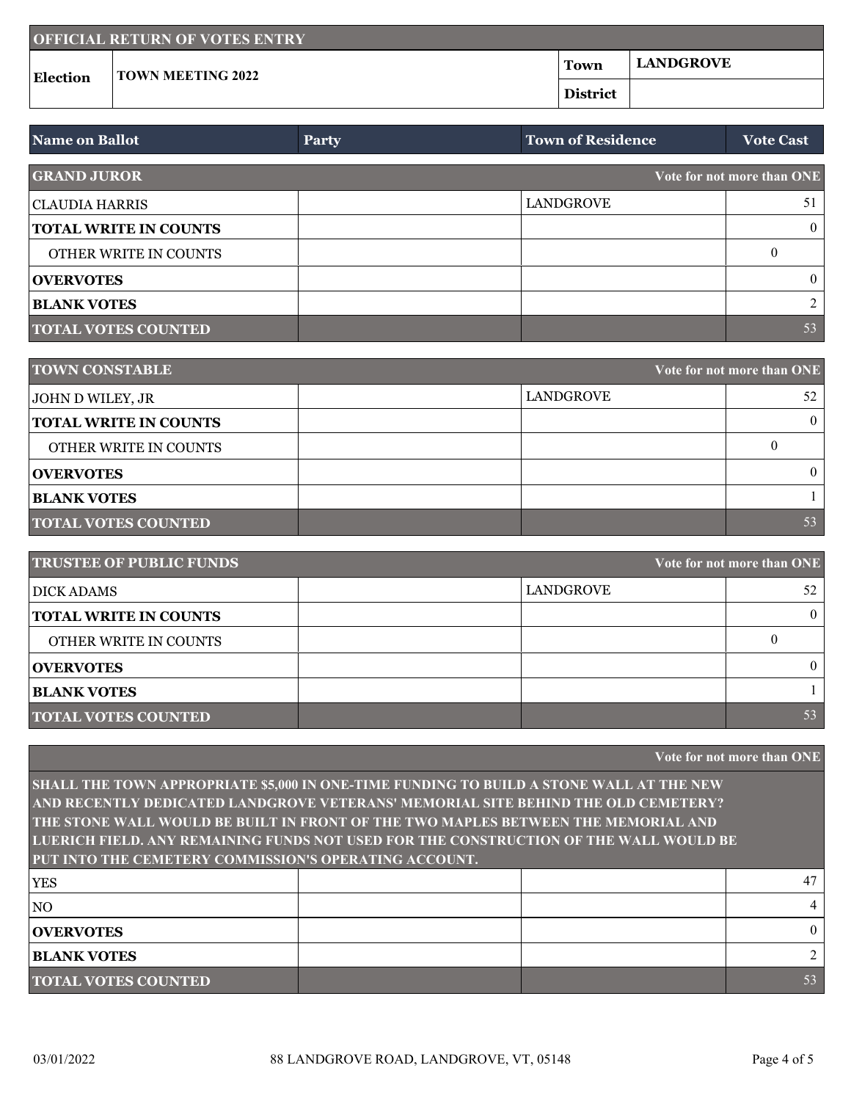| <b>OFFICIAL RETURN OF VOTES ENTRY</b> |                          |                 |                  |  |  |
|---------------------------------------|--------------------------|-----------------|------------------|--|--|
| <b>Election</b>                       | <b>TOWN MEETING 2022</b> | Town            | <b>LANDGROVE</b> |  |  |
|                                       |                          | <b>District</b> |                  |  |  |

| <b>Name on Ballot</b>                            | <b>Party</b> | <b>Town of Residence</b> | <b>Vote Cast</b> |
|--------------------------------------------------|--------------|--------------------------|------------------|
| <b>GRAND JUROR</b><br>Vote for not more than ONE |              |                          |                  |
| CLAUDIA HARRIS                                   |              | LANDGROVE                | 51               |
| <b>TOTAL WRITE IN COUNTS</b>                     |              |                          | $\theta$         |
| OTHER WRITE IN COUNTS                            |              |                          | $\left($         |
| <b>OVERVOTES</b>                                 |              |                          | $\theta$         |
| <b>BLANK VOTES</b>                               |              |                          | $\mathcal{D}$    |
| <b>TOTAL VOTES COUNTED</b>                       |              |                          | 53               |

| <b>TOWN CONSTABLE</b>        | Vote for not more than ONE |          |
|------------------------------|----------------------------|----------|
| JOHN D WILEY, JR             | LANDGROVE                  | 52       |
| <b>TOTAL WRITE IN COUNTS</b> |                            |          |
| OTHER WRITE IN COUNTS        |                            | $\left($ |
| <b>OVERVOTES</b>             |                            |          |
| <b>BLANK VOTES</b>           |                            |          |
| <b>TOTAL VOTES COUNTED</b>   |                            | 53       |

| <b>TRUSTEE OF PUBLIC FUNDS</b> |           | Vote for not more than ONE |
|--------------------------------|-----------|----------------------------|
| DICK ADAMS                     | LANDGROVE | 52                         |
| <b>TOTAL WRITE IN COUNTS</b>   |           | $\theta$                   |
| OTHER WRITE IN COUNTS          |           |                            |
| <b>OVERVOTES</b>               |           | $\theta$                   |
| <b>BLANK VOTES</b>             |           |                            |
| <b>TOTAL VOTES COUNTED</b>     |           | 53                         |

|                                                                                         |  |  | Vote for not more than ONE |
|-----------------------------------------------------------------------------------------|--|--|----------------------------|
| SHALL THE TOWN APPROPRIATE \$5,000 IN ONE-TIME FUNDING TO BUILD A STONE WALL AT THE NEW |  |  |                            |
| AND RECENTLY DEDICATED LANDGROVE VETERANS' MEMORIAL SITE BEHIND THE OLD CEMETERY?       |  |  |                            |
| THE STONE WALL WOULD BE BUILT IN FRONT OF THE TWO MAPLES BETWEEN THE MEMORIAL AND       |  |  |                            |
| LUERICH FIELD, ANY REMAINING FUNDS NOT USED FOR THE CONSTRUCTION OF THE WALL WOULD BE   |  |  |                            |
| PUT INTO THE CEMETERY COMMISSION'S OPERATING ACCOUNT.                                   |  |  |                            |
| <b>YES</b>                                                                              |  |  | 47                         |
| N <sub>O</sub>                                                                          |  |  | 4                          |
| <b>OVERVOTES</b>                                                                        |  |  | $\theta$                   |
| <b>BLANK VOTES</b>                                                                      |  |  | 2                          |
| <b>TOTAL VOTES COUNTED</b>                                                              |  |  | 53                         |